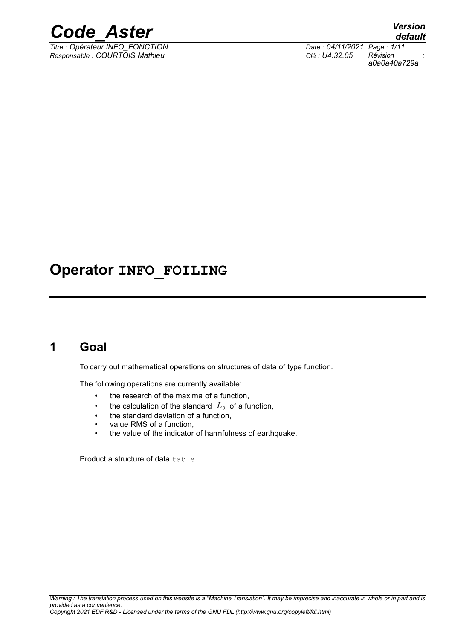

*Titre : Opérateur INFO\_FONCTION Date : 04/11/2021 Page : 1/11 Responsable : COURTOIS Mathieu Clé : U4.32.05 Révision :*

*default a0a0a40a729a*

### **Operator INFO\_FOILING**

### **1 Goal**

<span id="page-0-0"></span>To carry out mathematical operations on structures of data of type function.

The following operations are currently available:

- the research of the maxima of a function,
- the calculation of the standard  $|L_2|$  of a function,
- the standard deviation of a function,
- value RMS of a function,
- the value of the indicator of harmfulness of earthquake.

Product a structure of data table.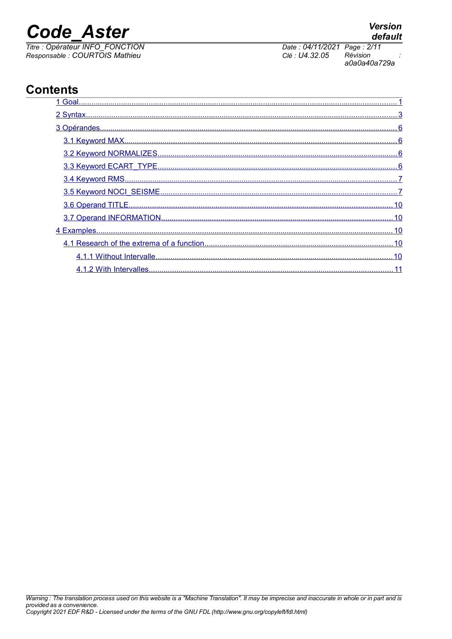## **Code Aster**

**Contents** 

Titre : Opérateur INFO FONCTION Responsable : COURTOIS Mathieu



| 1 Goal |
|--------|
|        |
|        |
|        |
|        |
|        |
|        |
|        |
|        |
|        |
|        |
|        |
|        |
|        |

#### **Version** default

Date: 04/11/2021 Page: 2/11 Clé : U4.32.05 Révision a0a0a40a729a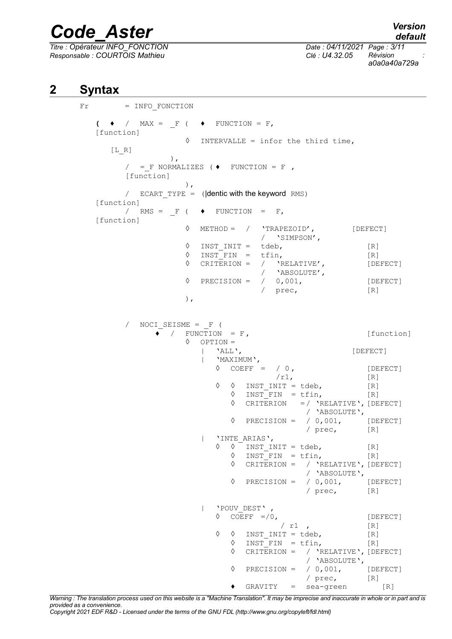*Titre : Opérateur INFO\_FONCTION Date : 04/11/2021 Page : 3/11 Responsable : COURTOIS Mathieu Clé : U4.32.05 Révision :*

*a0a0a40a729a*

### **2 Syntax**

```
Fr = INFO FONCTION
   \left(\begin{array}{cc} \bullet & / \end{array}\right) MAX = \qquad F ( \qquad \bullet FUNCTION = F,
   [function]
                       ◊ INTERVALLE = infor the third time,
      [L_R]),
          / = F NORMALIZES ( \blacklozenge FUNCTION = F ,
          [function]
                       ),
          / ECART TYPE = (|\text{dentic with the keyword RMS})[function]
         / RMS = F ( \blacklozenge FUNCTION = F,
   [function]
                       ◊ METHOD = / 'TRAPEZOID', [DEFECT]
                                        / 'SIMPSON',
                       \Diamond INST INIT = tdeb, [R]
                       \Diamond INST FIN = tfin, [R]\Diamond CRITERION = / 'RELATIVE', [DEFECT]
                                        / 'ABSOLUTE',
                       \Diamond PRECISION = / 0,001, [DEFECT]
                                        / prec, [R]
                       ),
             NOCI SEISME = F (
                \begin{array}{ccc} \bullet & / & \text{FUNCTION} & = \text{F} \end{array} [function]
                       ◊ OPTION =
                           | 'ALL', [DEFECT]
                           | 'MAXIMUM',
                              \Diamond COEFF = / 0, [DEFECT]
                                           /r1, [R]
                              \Diamond \quad \Diamond INST INIT = tdeb, [R]
                                 \Diamond INST FIN = tfin, [R]
                                 ◊ CRITERION =/ 'RELATIVE',[DEFECT]
                                                 / 'ABSOLUTE',
                                 \Diamond PRECISION = / 0,001, [DEFECT]
                                                  / prec, [R]
                           | 'INTE_ARIAS',
                              \Diamond \quad \Diamond \quad \text{INST\_INIT} = \text{tdeb}, [R]
                                 \Diamond INST_FIN = tfin, [R]
                                 ◊ CRITERION = / 'RELATIVE',[DEFECT]
                                                  / 'ABSOLUTE',
                                 \Diamond PRECISION = / 0,001, [DEFECT]
                                                  / prec, [R]
                           | 'POUV_DEST' ,
                              \sqrt{C} COEFF =/0, [DEFECT]
                                            / r1 , [R]\Diamond \quad \Diamond INST INIT = tdeb, [R]
                                 \Diamond INST FIN = tfin, [R]
                                 ◊ CRITERION = / 'RELATIVE',[DEFECT]
                                                  / 'ABSOLUTE',<br>/ 0,001,
                                 \Diamond PRECISION = / 0.001, [DEFECT]
                                                  / prec, [R]
                                 \bullet GRAVITY = sea-green [R]
```
*Warning : The translation process used on this website is a "Machine Translation". It may be imprecise and inaccurate in whole or in part and is provided as a convenience.*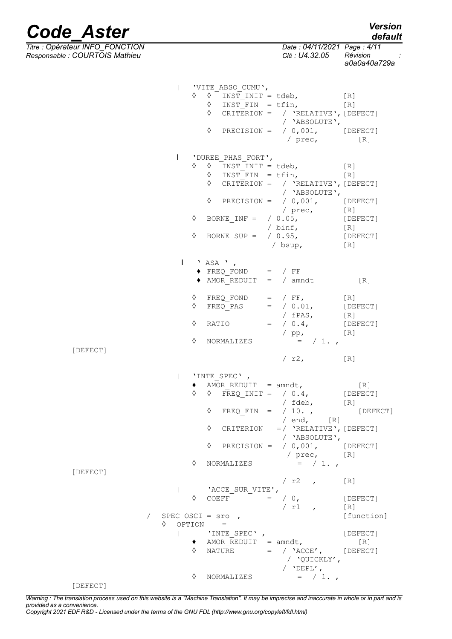*Titre : Opérateur INFO\_FONCTION Date : 04/11/2021 Page : 4/11 Responsable : COURTOIS Mathieu Clé : U4.32.05 Révision :*

*a0a0a40a729a*

|          |                                                              | 'VITE ABSO CUMU',<br>$\Diamond$<br>♦                                            | $\begin{array}{ccccc}\n\lozenge & \lozenge^{-} & \text{INST\_INIT} = \text{tdeb}, & & & & & \text{[R]} \\ \lozenge & \text{INST\_FIN} & = \text{tfin}, & & & & \text{[R]}\n\end{array}$<br>CRITERION = $/$ 'RELATIVE', [DEFECT]<br>/ 'ABSOLUTE',<br>PRECISION = $/ 0,001,$ [DEFECT]<br>/ prec, [R]       |                                                                 |
|----------|--------------------------------------------------------------|---------------------------------------------------------------------------------|----------------------------------------------------------------------------------------------------------------------------------------------------------------------------------------------------------------------------------------------------------------------------------------------------------|-----------------------------------------------------------------|
|          | ♦<br>♦<br>♦                                                  | I 'DUREE PHAS FORT',                                                            | $\Diamond$ INST INIT = tdeb, [R]<br>$\Diamond$ INST FIN = tfin, [R]<br>$\Diamond$ CRITERION = / 'RELATIVE', [DEFECT]<br>/ 'ABSOLUTE',<br>$\Diamond$ PRECISION = / 0,001, [DEFECT]<br>$/$ prec, $[R]$<br>BORNE_INF = $/ 0.05$ , [DEFECT]<br>/ binf, [R]<br>BORNE_SUP = $/ 0.95$ , [DEFECT]<br>/ bsup, [R] |                                                                 |
|          | ♦<br>♦<br>♦                                                  | $\blacksquare$ 'ASA ',<br>$\bullet$ FREQ FOND = / FF                            | $\blacklozenge$ AMOR REDUIT = / amndt [R]<br>$FREQ_FOND = / FF,$ [R]<br>FREQ PAS = $/ 0.01$ , [DEFECT]                                                                                                                                                                                                   |                                                                 |
| [DEFECT] | ♦                                                            | NORMALIZES                                                                      | / pp, $[R]$<br>= / 1.,<br>/ $r2$ , [R]                                                                                                                                                                                                                                                                   |                                                                 |
| [DEFECT] | $\mathbb{L}$<br>♦<br>♦                                       | 'INTE SPEC',<br>NORMALIZES                                                      | AMOR_REDUIT = amndt, $[R]$<br>0 FREQ_INIT = / 0.4, [DEFECT]<br>/ fdeb, [R]<br>$\Diamond$ FREQ FIN = / 10., [DEFECT]<br>/ end, [R]<br>$\Diamond$ CRITERION =/ 'RELATIVE', [DEFECT]<br>/ 'ABSOLUTE',<br>$\Diamond$ PRECISION = $/$ 0,001, [DEFECT]<br>/ prec, [R]<br>$=$ / 1.,                             |                                                                 |
| [DEFECT] | ♦<br>/ SPEC OSCI = $\text{src}$ ,<br>OPTION =<br>♦<br>♦<br>♦ | 'ACCE SUR VITE',<br>COEFF<br>'INTE SPEC',<br>AMOR REDUIT = amndt,<br>NORMALIZES | $\sqrt{r^2}$ ,<br>$\lfloor R \rfloor$<br>$=$ / 0,<br>$/r1$ , $[R]$<br>NATURE $=$ / $ACCE'$ , [DEFECT]<br>/ 'QUICKLY',<br>/ $'$ DEPL',<br>$=$ / 1.,                                                                                                                                                       | $[$ $DEFECT$ $]$<br>[function]<br>[DEFECT]<br>$\lceil R \rceil$ |

*Warning : The translation process used on this website is a "Machine Translation". It may be imprecise and inaccurate in whole or in part and is provided as a convenience. Copyright 2021 EDF R&D - Licensed under the terms of the GNU FDL (http://www.gnu.org/copyleft/fdl.html)*

### *default*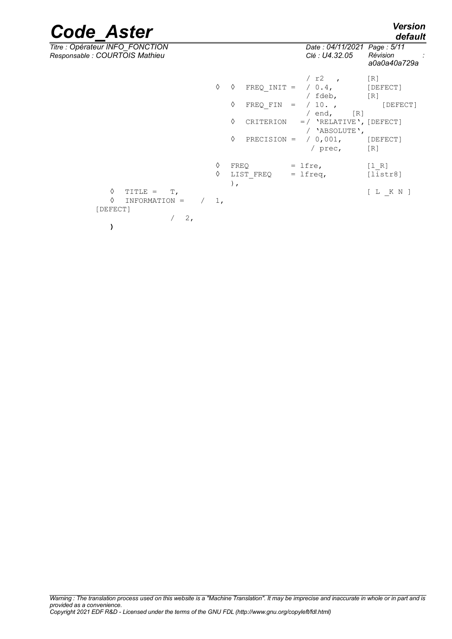| <b>Code Aster</b>                                                 |              |                  |                                                          |     |                                                                                                                                    | <b>Version</b><br>default                             |
|-------------------------------------------------------------------|--------------|------------------|----------------------------------------------------------|-----|------------------------------------------------------------------------------------------------------------------------------------|-------------------------------------------------------|
| Titre : Opérateur INFO_FONCTION<br>Responsable : COURTOIS Mathieu |              |                  |                                                          |     | Date: 04/11/2021 Page: 5/11<br>Clé : U4.32.05                                                                                      | Révision<br>a0a0a40a729a                              |
|                                                                   | ♦            | ♦<br>♦<br>♦<br>♦ | $FREQ$ $INT =$<br>FREQ FIN<br>CRITERION<br>$PRECISION =$ | $=$ | / $r2$ ,<br>$/ 0.4$ ,<br>/ fdeb,<br>/10.<br>/ $end$ ,<br>[R]<br>$=$ / 'RELATIVE', [DEFECT]<br>/ 'ABSOLUTE',<br>/ 0,001,<br>/ prec, | [R]<br>[DEFECT]<br>[R]<br>[DEFECT]<br>[DEFECT]<br>[R] |
| ♦<br>TITLE =<br>Т,<br>♦<br>INFORMATION =<br>[DEFECT]<br>2,        | ♦<br>♦<br>1, | FREO<br>$)$ ,    | LIST FREQ                                                |     | $=$ lfre,<br>$=$ lfreq,                                                                                                            | [1 R]<br>[liststr8]<br>[L K N]                        |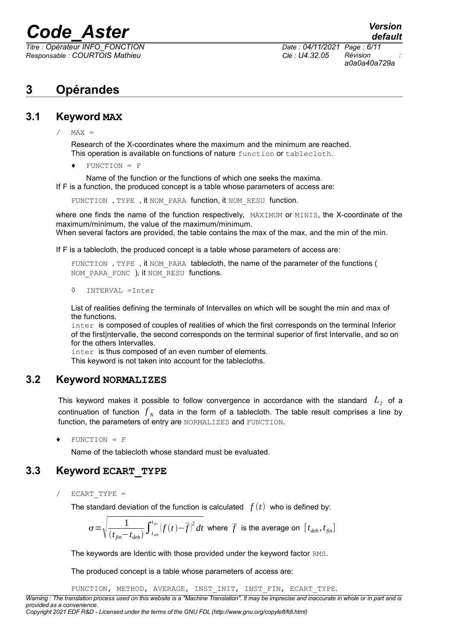*Titre : Opérateur INFO\_FONCTION Date : 04/11/2021 Page : 6/11 Responsable : COURTOIS Mathieu Clé : U4.32.05 Révision :*

*default a0a0a40a729a*

### <span id="page-5-3"></span>**3 Opérandes**

### **3.1 Keyword MAX**

<span id="page-5-2"></span> $/$  MAX =

Research of the X-coordinates where the maximum and the minimum are reached. This operation is available on functions of nature function or tablecloth.

 $FUNCTION = F$ 

Name of the function or the functions of which one seeks the maxima. If F is a function, the produced concept is a table whose parameters of access are:

FUNCTION, TYPE, it NOM PARA function, it NOM RESU function.

where one finds the name of the function respectively, MAXIMUM or MINIS, the X-coordinate of the maximum/minimum, the value of the maximum/minimum. When several factors are provided, the table contains the max of the max, and the min of the min.

If F is a tablecloth, the produced concept is a table whose parameters of access are:

FUNCTION, TYPE, it NOM PARA tablecloth, the name of the parameter of the functions ( NOM PARA FONC ), it NOM RESU functions.

◊ INTERVAL =Inter

List of realities defining the terminals of Intervalles on which will be sought the min and max of the functions.

inter is composed of couples of realities of which the first corresponds on the terminal Inferior of the first|ntervalle, the second corresponds on the terminal superior of first Intervalle, and so on for the others Intervalles.

inter is thus composed of an even number of elements.

<span id="page-5-1"></span>This keyword is not taken into account for the tablecloths.

### **3.2 Keyword NORMALIZES**

This keyword makes it possible to follow convergence in accordance with the standard  $\ L_{2}^{}$  of a continuation of function  $f_N$  data in the form of a tablecloth. The table result comprises a line by function, the parameters of entry are NORMALIZES and FUNCTION.

♦ FUNCTION = F

<span id="page-5-0"></span>Name of the tablecloth whose standard must be evaluated.

### **3.3 Keyword ECART\_TYPE**

 $/$  ECART TYPE =

The standard deviation of the function is calculated  $f(t)$  who is defined by:

$$
\sigma = \sqrt{\frac{1}{(t_{fin} - t_{deb})} \int_{t_{deb}}^{t_{fin}} |f(t) - \overline{f}|^2} dt
$$
 where  $\overline{f}$  is the average on  $[t_{deb}, t_{fin}]$ 

The keywords are Identic with those provided under the keyword factor RMS.

The produced concept is a table whose parameters of access are:

FUNCTION, METHOD, AVERAGE, INST\_INIT, INST\_FIN, ECART\_TYPE.

*Warning : The translation process used on this website is a "Machine Translation". It may be imprecise and inaccurate in whole or in part and is provided as a convenience.*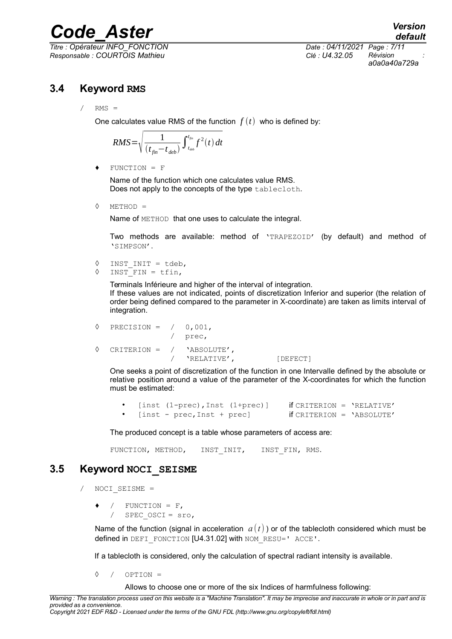*Titre : Opérateur INFO\_FONCTION Date : 04/11/2021 Page : 7/11 Responsable : COURTOIS Mathieu Clé : U4.32.05 Révision :*

*a0a0a40a729a*

### **3.4 Keyword RMS**

<span id="page-6-1"></span> $/$  RMS =

One calculates value RMS of the function  $f(t)$  who is defined by:

$$
RMS = \sqrt{\frac{1}{(t_{fin} - t_{deb})}\int_{t_{deb}}^{t_{fin}}f^2(t) dt}
$$

♦ FUNCTION = F

Name of the function which one calculates value RMS. Does not apply to the concepts of the type tablecloth.

◊ METHOD =

Name of METHOD that one uses to calculate the integral.

Two methods are available: method of 'TRAPEZOID' (by default) and method of 'SIMPSON'.

```
◊ INST_INIT = tdeb,
```
◊ INST\_FIN = tfin,

Terminals Inférieure and higher of the interval of integration. If these values are not indicated, points of discretization Inferior and superior (the relation of order being defined compared to the parameter in X-coordinate) are taken as limits interval of integration.

```
\Diamond PRECISION = / 0,001,
               / prec,
◊ CRITERION = / 'ABSOLUTE',
               / 'RELATIVE', [DEFECT]
```
One seeks a point of discretization of the function in one Intervalle defined by the absolute or relative position around a value of the parameter of the X-coordinates for which the function must be estimated:

• [inst  $(1-\text{prec})$ , Inst  $(1+\text{prec})$ ] if CRITERION = 'RELATIVE'<br>• [inst = proc\_Inst + proc] if CRITERION = 'ARSOLUTE' [inst - prec, Inst + prec]  $if$  CRITERION = 'ABSOLUTE'

The produced concept is a table whose parameters of access are:

FUNCTION, METHOD, INST INIT, INST FIN, RMS.

### **3.5 Keyword NOCI\_SEISME**

- <span id="page-6-0"></span>/ NOCI\_SEISME =
	- $/$  FUNCTION = F, / SPEC\_OSCI = sro,

Name of the function (signal in acceleration  $a(t)$ ) or of the tablecloth considered which must be defined in DEFI\_FONCTION [U4.31.02] with NOM\_RESU=' ACCE'.

If a tablecloth is considered, only the calculation of spectral radiant intensity is available.

◊ / OPTION =

Allows to choose one or more of the six Indices of harmfulness following:

*Warning : The translation process used on this website is a "Machine Translation". It may be imprecise and inaccurate in whole or in part and is provided as a convenience. Copyright 2021 EDF R&D - Licensed under the terms of the GNU FDL (http://www.gnu.org/copyleft/fdl.html)*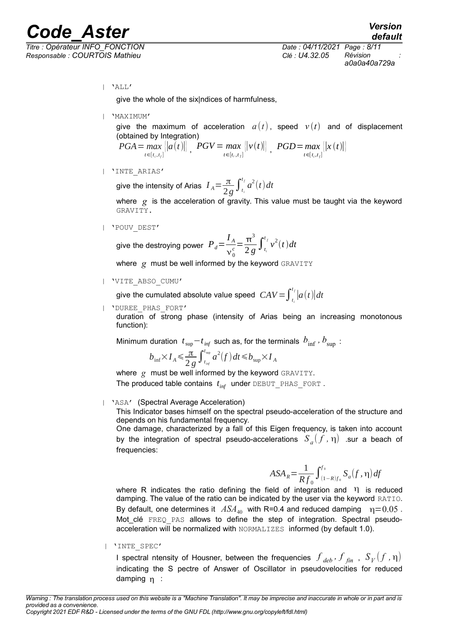*Titre : Opérateur INFO\_FONCTION Date : 04/11/2021 Page : 8/11 Responsable : COURTOIS Mathieu Clé : U4.32.05 Révision :*

*a0a0a40a729a*

| 'ALL'

give the whole of the six|ndices of harmfulness,

| 'MAXIMUM'

give the maximum of acceleration  $a(t)$ , speed  $v(t)$  and of displacement (obtained by Integration)

*PGA*= *max*  $\max_{t \in [t_i, t_f]} ||a(t)||$ ,  $PGV = max$ <br> $t \in [t_i, t_f]$  $\left\{ \left\| v(t) \right\| \right\}$ ,  $PGD = \max_{t \in [t_i, t_f]}$ *t*∈[ $t_i, t_f$ ]  $||x(t)||$ 

| 'INTE\_ARIAS'

give the intensity of Arias  $I_A = \frac{\pi}{2}$  $\frac{\pi}{2g} \int_{t_i}^{t_i}$  $\int_a^{t_f} a^2(t) dt$ 

where *g* is the acceleration of gravity. This value must be taught via the keyword GRAVITY.

| 'POUV\_DEST'

give the destroying power 
$$
P_d = \frac{I_A}{v_0^c} = \frac{\pi^3}{2g} \int_{t_i}^{t_f} v^2(t) dt
$$

where *g* must be well informed by the keyword GRAVITY

| 'VITE\_ABSO\_CUMU'

give the cumulated absolute value speed  $\; \; CAV \! = \! \int_{t_i}^{t_f} \! \left| a(t) \right| \! dt$ *i*

| 'DUREE\_PHAS\_FORT'

duration of strong phase (intensity of Arias being an increasing monotonous function):

Minimum duration  $\; t_{\rm sup}\!-\!t_{\rm inf}\;$  such as, for the terminals  $\;b_{\rm inf}^{\phantom i}$  *,*  $b_{\rm sup}^{\phantom i}$  :

$$
b_{\inf} \times I_A \leq \frac{\pi}{2g} \int_{t_{\inf}}^{t_{\sup}} a^2(f) dt \leq b_{\sup} \times I_A
$$

where *g* must be well informed by the keyword GRAVITY. The produced table contains *t inf* under DEBUT\_PHAS\_FORT .

| 'ASA' (Spectral Average Acceleration)

This Indicator bases himself on the spectral pseudo-acceleration of the structure and depends on his fundamental frequency.

One damage, characterized by a fall of this Eigen frequency, is taken into account by the integration of spectral pseudo-accelerations  $S_a(f, \eta)$  .sur a beach of frequencies:

$$
ASA_R = \frac{1}{Rf_0} \int_{(1-R)f_0}^{f_0} S_a(f, \eta) df
$$

where R indicates the ratio defining the field of integration and  $\eta$  is reduced damping. The value of the ratio can be indicated by the user via the keyword RATIO. By default, one determines it  $ASA_{40}$  with R=0.4 and reduced damping  $\eta = 0.05$ . Mot clé FREQ PAS allows to define the step of integration. Spectral pseudoacceleration will be normalized with NORMALIZES informed (by default 1.0).

| 'INTE\_SPEC'

I spectral ntensity of Housner, between the frequencies  $\left. \int_{deb}$  ,  $\int_{fin}$  ,  $\left. S_{V}(f, \eta) \right.$ indicating the S pectre of Answer of Oscillator in pseudovelocities for reduced damping n :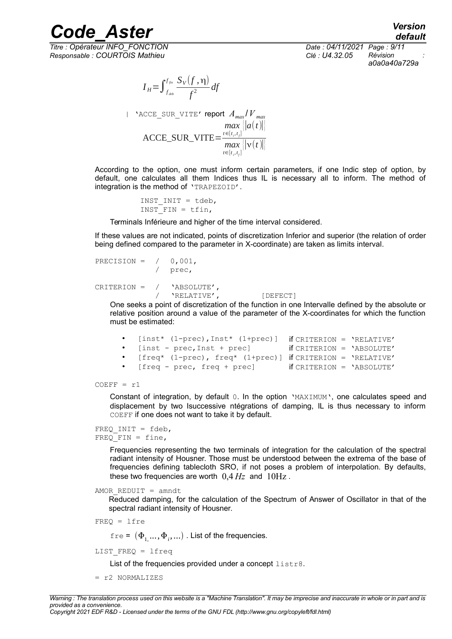*Responsable : COURTOIS Mathieu Clé : U4.32.05 Révision :*

*default Titre : Opérateur INFO\_FONCTION Date : 04/11/2021 Page : 9/11 a0a0a40a729a*

$$
I_H = \int_{f_{\text{deb}}}^{f_{\text{fin}}} \frac{S_V(f, \eta)}{f^2} df
$$

$$
1 \text{ ^VACC\_ SUR\_VITE' report } A_{max}/V_{max}
$$
\n
$$
ACCE\_ SUR\_VITE = \frac{max_{t \in [t_i, t_f]} ||a(t)||}{max_{t \in [t_i, t_f]} ||v(t)||}
$$

According to the option, one must inform certain parameters, if one Indic step of option, by default, one calculates all them Indices thus IL is necessary all to inform. The method of integration is the method of 'TRAPEZOID'.

> INST\_INIT = tdeb, INST FIN =  $tfin,$

Terminals Inférieure and higher of the time interval considered.

If these values are not indicated, points of discretization Inferior and superior (the relation of order being defined compared to the parameter in X-coordinate) are taken as limits interval.

```
PRECISION = / 0,001,
             / prec,
CRITERION = / 'ABSOLUTE',<br>/ 'RELATIVE',
                'RELATIVE', [DEFECT]
```
One seeks a point of discretization of the function in one Intervalle defined by the absolute or relative position around a value of the parameter of the X-coordinates for which the function must be estimated:

```
• [inst* (1-prec),Inst* (1+prec)] if CRITERION = 'RELATIVE'
   • [inst - prec,Inst + prec] if CRITERION = 'ABSOLUTE'
   • [freq* (1-prec), freq* (1+prec)] if CRITERION = 'RELATIVE'
   • [freq - prec, freq + prec] if CRITERION = 'ABSOLUTE'
```
 $COEFF = r1$ 

Constant of integration, by default 0. In the option 'MAXIMUM', one calculates speed and displacement by two Isuccessive ntégrations of damping, IL is thus necessary to inform COEFF if one does not want to take it by default.

```
FREQ INIT = fdeb,FREO FIN = fine,
```
Frequencies representing the two terminals of integration for the calculation of the spectral radiant intensity of Housner. Those must be understood between the extrema of the base of frequencies defining tablecloth SRO, if not poses a problem of interpolation. By defaults, these two frequencies are worth  $0.4 \, Hz$  and  $10 \, Hz$ .

 $AMOR$  REDUIT = amndt

Reduced damping, for the calculation of the Spectrum of Answer of Oscillator in that of the spectral radiant intensity of Housner.

FREQ = lfre

 ${\tt fre}$  =  $(\Phi_{1\!\!,\, \cdots\!\!,\,} \Phi_{i\!\,,\, \cdots})$  . List of the frequencies.

LIST\_FREQ = lfreq

List of the frequencies provided under a concept listr8.

= r2 NORMALIZES

*Copyright 2021 EDF R&D - Licensed under the terms of the GNU FDL (http://www.gnu.org/copyleft/fdl.html)*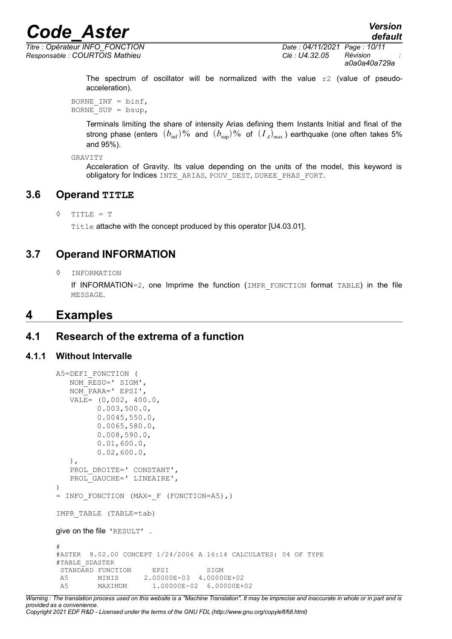*Titre : Opérateur INFO\_FONCTION Date : 04/11/2021 Page : 10/11 Responsable : COURTOIS Mathieu Clé : U4.32.05 Révision :*

*default*

*a0a0a40a729a*

The spectrum of oscillator will be normalized with the value  $r2$  (value of pseudoacceleration).

BORNE INF =  $\text{binf}$ , BORNE SUP =  $bsup$ ,

> Terminals limiting the share of intensity Arias defining them Instants Initial and final of the strong phase (enters  $(b_{\rm inf})\%$  and  $(b_{\rm sup})\%$  of  $(I_{_A})_{max}$ ) earthquake (one often takes 5% and 95%).

```
GRAVITY
```
Acceleration of Gravity. Its value depending on the units of the model, this keyword is obligatory for Indices INTE ARIAS, POUV DEST, DUREE PHAS FORT.

### **3.6 Operand TITLE**

<span id="page-9-4"></span> $\Diamond$  TITLE = T

Title attache with the concept produced by this operator [U4.03.01].

### **3.7 Operand INFORMATION**

<span id="page-9-3"></span>◊ INFORMATION

If INFORMATION=2, one Imprime the function (IMPR FONCTION format TABLE) in the file MESSAGE.

### <span id="page-9-2"></span>**4 Examples**

### <span id="page-9-1"></span>**4.1 Research of the extrema of a function**

#### **4.1.1 Without Intervalle**

```
A5=DEFI_FONCTION (
   NOM_RESU=' SIGM',
    NOM_PARA=' EPSI',
    VALE= (0,002, 400.0,
          0.003,500.0,
          0.0045,550.0,
          0.0065,580.0,
          0.008,590.0,
          0.01,600.0,
          0.02,600.0,
    ),
   PROL DROITE=' CONSTANT',
    PROL_GAUCHE=' LINEAIRE',
)
= INFO_FONCTION (MAX=_F (FONCTION=A5),)
IMPR_TABLE (TABLE=tab)
give on the file 'RESULT' .
#
#ASTER 8.02.00 CONCEPT 1/24/2006 A 16:14 CALCULATES: 04 OF TYPE
#TABLE_SDASTER
STANDARD FUNCTION EPSI SIGM
A5 MINIS 2.00000E-03 4.00000E+02
A5 MAXIMUM 1.00000E-02 6.00000E+02
```
*Warning : The translation process used on this website is a "Machine Translation". It may be imprecise and inaccurate in whole or in part and is provided as a convenience. Copyright 2021 EDF R&D - Licensed under the terms of the GNU FDL (http://www.gnu.org/copyleft/fdl.html)*